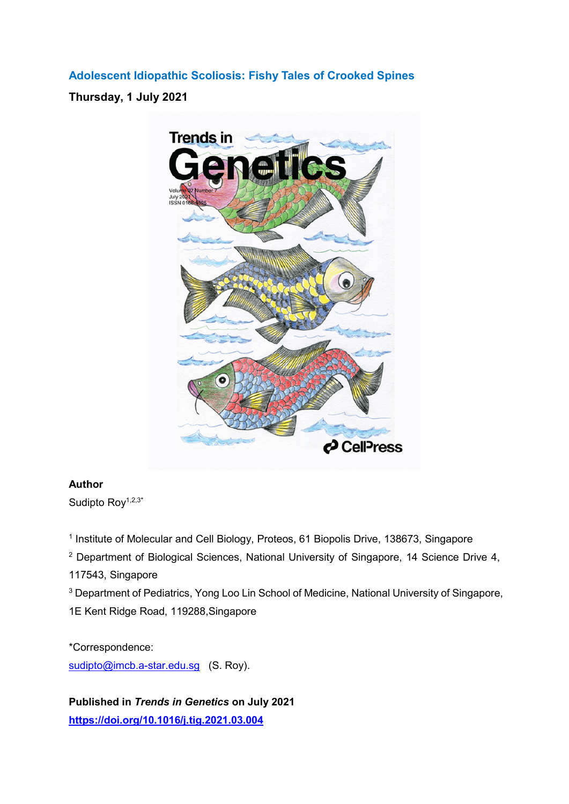**Adolescent Idiopathic Scoliosis: Fishy Tales of Crooked Spines**

**Thursday, 1 July 2021**



## **Author**

Sudipto Roy<sup>1,2,3\*</sup>

<sup>1</sup> Institute of Molecular and Cell Biology, Proteos, 61 Biopolis Drive, 138673, Singapore

<sup>2</sup> Department of Biological Sciences, National University of Singapore, 14 Science Drive 4,

117543, Singapore

<sup>3</sup> Department of Pediatrics, Yong Loo Lin School of Medicine, National University of Singapore, 1E Kent Ridge Road, 119288,Singapore

\*Correspondence: [sudipto@imcb.a-star.edu.sg](mailto:sudipto@imcb.a-star.edu.sg) (S. Roy).

**Published in** *Trends in Genetics* **on July 2021 <https://doi.org/10.1016/j.tig.2021.03.004>**